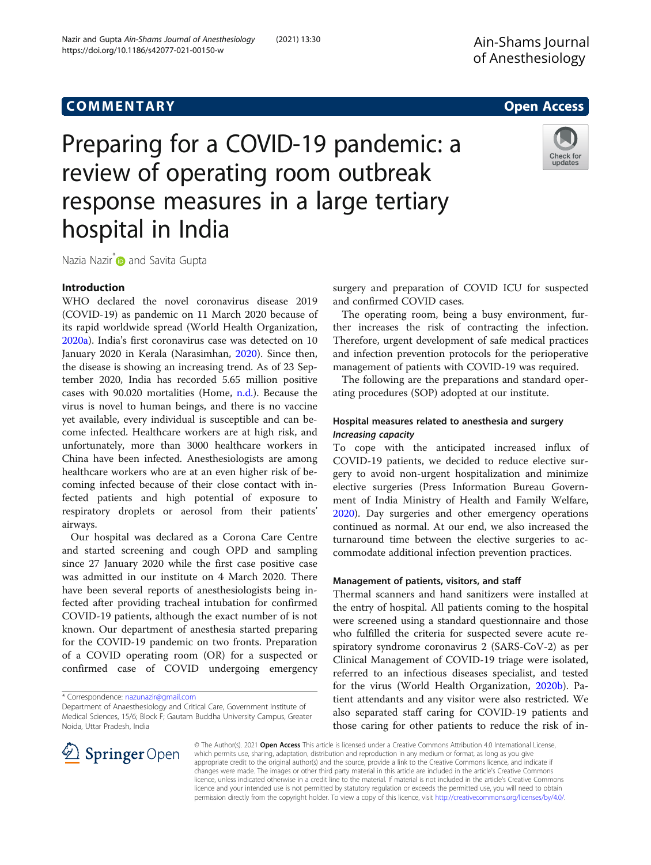# hospital in India

Nazia Nazir<sup>\*</sup> and Savita Gupta

## Introduction

WHO declared the novel coronavirus disease 2019 (COVID-19) as pandemic on 11 March 2020 because of its rapid worldwide spread (World Health Organization, [2020a\)](#page-3-0). India's first coronavirus case was detected on 10 January 2020 in Kerala (Narasimhan, [2020](#page-3-0)). Since then, the disease is showing an increasing trend. As of 23 September 2020, India has recorded 5.65 million positive cases with 90.020 mortalities (Home, [n.d.\)](#page-3-0). Because the virus is novel to human beings, and there is no vaccine yet available, every individual is susceptible and can become infected. Healthcare workers are at high risk, and unfortunately, more than 3000 healthcare workers in China have been infected. Anesthesiologists are among healthcare workers who are at an even higher risk of becoming infected because of their close contact with infected patients and high potential of exposure to respiratory droplets or aerosol from their patients' airways.

Our hospital was declared as a Corona Care Centre and started screening and cough OPD and sampling since 27 January 2020 while the first case positive case was admitted in our institute on 4 March 2020. There have been several reports of anesthesiologists being infected after providing tracheal intubation for confirmed COVID-19 patients, although the exact number of is not known. Our department of anesthesia started preparing for the COVID-19 pandemic on two fronts. Preparation of a COVID operating room (OR) for a suspected or confirmed case of COVID undergoing emergency

\* Correspondence: [nazunazir@gmail.com](mailto:nazunazir@gmail.com)

 $\mathscr{L}$  Springer Open

surgery and preparation of COVID ICU for suspected and confirmed COVID cases.

The operating room, being a busy environment, further increases the risk of contracting the infection. Therefore, urgent development of safe medical practices and infection prevention protocols for the perioperative management of patients with COVID-19 was required.

The following are the preparations and standard operating procedures (SOP) adopted at our institute.

## Hospital measures related to anesthesia and surgery Increasing capacity

To cope with the anticipated increased influx of COVID-19 patients, we decided to reduce elective surgery to avoid non-urgent hospitalization and minimize elective surgeries (Press Information Bureau Government of India Ministry of Health and Family Welfare, [2020](#page-3-0)). Day surgeries and other emergency operations continued as normal. At our end, we also increased the turnaround time between the elective surgeries to accommodate additional infection prevention practices.

## Management of patients, visitors, and staff

Thermal scanners and hand sanitizers were installed at the entry of hospital. All patients coming to the hospital were screened using a standard questionnaire and those who fulfilled the criteria for suspected severe acute respiratory syndrome coronavirus 2 (SARS-CoV-2) as per Clinical Management of COVID-19 triage were isolated, referred to an infectious diseases specialist, and tested for the virus (World Health Organization, [2020b\)](#page-3-0). Patient attendants and any visitor were also restricted. We also separated staff caring for COVID-19 patients and those caring for other patients to reduce the risk of in-

© The Author(s). 2021 Open Access This article is licensed under a Creative Commons Attribution 4.0 International License, which permits use, sharing, adaptation, distribution and reproduction in any medium or format, as long as you give appropriate credit to the original author(s) and the source, provide a link to the Creative Commons licence, and indicate if changes were made. The images or other third party material in this article are included in the article's Creative Commons licence, unless indicated otherwise in a credit line to the material. If material is not included in the article's Creative Commons licence and your intended use is not permitted by statutory regulation or exceeds the permitted use, you will need to obtain permission directly from the copyright holder. To view a copy of this licence, visit <http://creativecommons.org/licenses/by/4.0/>.

Nazir and Gupta Ain-Shams Journal of Anesthesiology (2021) 13:30 https://doi.org/10.1186/s42077-021-00150-w

Preparing for a COVID-19 pandemic: a

review of operating room outbreak



Check for updates

Department of Anaesthesiology and Critical Care, Government Institute of Medical Sciences, 15/6; Block F; Gautam Buddha University Campus, Greater Noida, Uttar Pradesh, India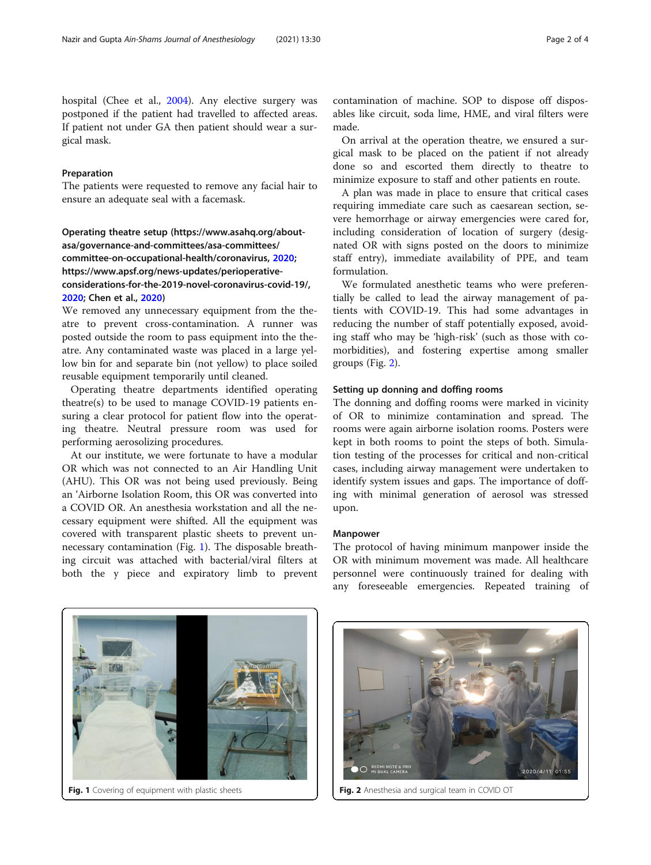hospital (Chee et al., [2004](#page-3-0)). Any elective surgery was postponed if the patient had travelled to affected areas. If patient not under GA then patient should wear a surgical mask.

## Preparation

The patients were requested to remove any facial hair to ensure an adequate seal with a facemask.

Operating theatre setup (https://www.asahq.org/aboutasa/governance-and-committees/asa-committees/ committee-on-occupational-health/coronavirus, [2020](#page-3-0); https://www.apsf.org/news-updates/perioperativeconsiderations-for-the-2019-novel-coronavirus-covid-19/, [2020](#page-3-0); Chen et al., [2020](#page-3-0))

We removed any unnecessary equipment from the theatre to prevent cross-contamination. A runner was posted outside the room to pass equipment into the theatre. Any contaminated waste was placed in a large yellow bin for and separate bin (not yellow) to place soiled reusable equipment temporarily until cleaned.

Operating theatre departments identified operating theatre(s) to be used to manage COVID-19 patients ensuring a clear protocol for patient flow into the operating theatre. Neutral pressure room was used for performing aerosolizing procedures.

At our institute, we were fortunate to have a modular OR which was not connected to an Air Handling Unit (AHU). This OR was not being used previously. Being an 'Airborne Isolation Room, this OR was converted into a COVID OR. An anesthesia workstation and all the necessary equipment were shifted. All the equipment was covered with transparent plastic sheets to prevent unnecessary contamination (Fig. 1). The disposable breathing circuit was attached with bacterial/viral filters at both the y piece and expiratory limb to prevent contamination of machine. SOP to dispose off disposables like circuit, soda lime, HME, and viral filters were made.

On arrival at the operation theatre, we ensured a surgical mask to be placed on the patient if not already done so and escorted them directly to theatre to minimize exposure to staff and other patients en route.

A plan was made in place to ensure that critical cases requiring immediate care such as caesarean section, severe hemorrhage or airway emergencies were cared for, including consideration of location of surgery (designated OR with signs posted on the doors to minimize staff entry), immediate availability of PPE, and team formulation.

We formulated anesthetic teams who were preferentially be called to lead the airway management of patients with COVID-19. This had some advantages in reducing the number of staff potentially exposed, avoiding staff who may be 'high-risk' (such as those with comorbidities), and fostering expertise among smaller groups (Fig. 2).

## Setting up donning and doffing rooms

The donning and doffing rooms were marked in vicinity of OR to minimize contamination and spread. The rooms were again airborne isolation rooms. Posters were kept in both rooms to point the steps of both. Simulation testing of the processes for critical and non-critical cases, including airway management were undertaken to identify system issues and gaps. The importance of doffing with minimal generation of aerosol was stressed upon.

#### Manpower

The protocol of having minimum manpower inside the OR with minimum movement was made. All healthcare personnel were continuously trained for dealing with any foreseeable emergencies. Repeated training of





**Fig. 1** Covering of equipment with plastic sheets Fig. 2 Anesthesia and surgical team in COVID OT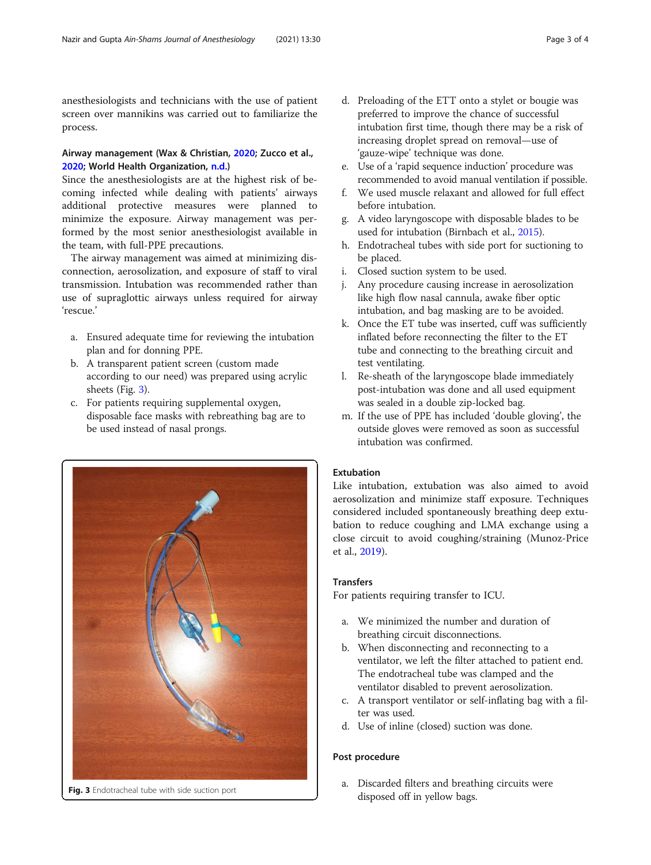anesthesiologists and technicians with the use of patient screen over mannikins was carried out to familiarize the process.

## Airway management (Wax & Christian, [2020](#page-3-0); Zucco et al., [2020](#page-3-0); World Health Organization, [n.d.\)](#page-3-0)

Since the anesthesiologists are at the highest risk of becoming infected while dealing with patients' airways additional protective measures were planned to minimize the exposure. Airway management was performed by the most senior anesthesiologist available in the team, with full-PPE precautions.

The airway management was aimed at minimizing disconnection, aerosolization, and exposure of staff to viral transmission. Intubation was recommended rather than use of supraglottic airways unless required for airway 'rescue.'

- a. Ensured adequate time for reviewing the intubation plan and for donning PPE.
- b. A transparent patient screen (custom made according to our need) was prepared using acrylic sheets (Fig. 3).
- c. For patients requiring supplemental oxygen, disposable face masks with rebreathing bag are to be used instead of nasal prongs.



- d. Preloading of the ETT onto a stylet or bougie was preferred to improve the chance of successful intubation first time, though there may be a risk of increasing droplet spread on removal—use of 'gauze-wipe' technique was done.
- e. Use of a 'rapid sequence induction' procedure was recommended to avoid manual ventilation if possible.
- f. We used muscle relaxant and allowed for full effect before intubation.
- g. A video laryngoscope with disposable blades to be used for intubation (Birnbach et al., [2015](#page-3-0)).
- h. Endotracheal tubes with side port for suctioning to be placed.
- i. Closed suction system to be used.
- j. Any procedure causing increase in aerosolization like high flow nasal cannula, awake fiber optic intubation, and bag masking are to be avoided.
- k. Once the ET tube was inserted, cuff was sufficiently inflated before reconnecting the filter to the ET tube and connecting to the breathing circuit and test ventilating.
- l. Re-sheath of the laryngoscope blade immediately post-intubation was done and all used equipment was sealed in a double zip-locked bag.
- m. If the use of PPE has included 'double gloving', the outside gloves were removed as soon as successful intubation was confirmed.

## Extubation

Like intubation, extubation was also aimed to avoid aerosolization and minimize staff exposure. Techniques considered included spontaneously breathing deep extubation to reduce coughing and LMA exchange using a close circuit to avoid coughing/straining (Munoz-Price et al., [2019](#page-3-0)).

## **Transfers**

For patients requiring transfer to ICU.

- a. We minimized the number and duration of breathing circuit disconnections.
- b. When disconnecting and reconnecting to a ventilator, we left the filter attached to patient end. The endotracheal tube was clamped and the ventilator disabled to prevent aerosolization.
- c. A transport ventilator or self-inflating bag with a filter was used.
- d. Use of inline (closed) suction was done.

## Post procedure

a. Discarded filters and breathing circuits were Fig. 3 Endotracheal tube with side suction port disposed off in yellow bags.